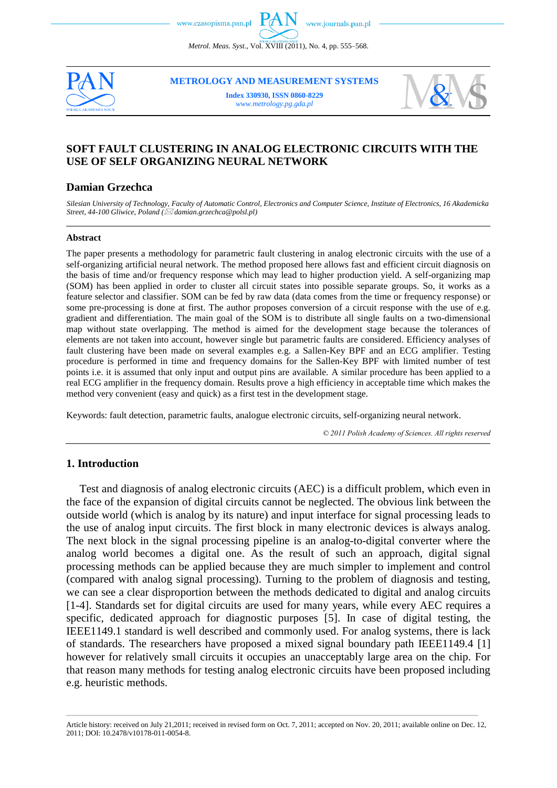*Metrol. Meas. Syst.*, Vol. XVIII (2011), No. 4, pp. 555–568.



**METROLOGY AND MEASUREMENT SYSTEMS**

**Index 330930, ISSN 0860-8229** *www.metrology.pg.gda.pl*



# **SOFT FAULT CLUSTERING IN ANALOG ELECTRONIC CIRCUITS WITH THE USE OF SELF ORGANIZING NEURAL NETWORK**

#### **Damian Grzechca**

*Silesian University of Technology, Faculty of Automatic Control, Electronics and Computer Science, Institute of Electronics, 16 Akademicka Street, 44-100 Gliwice, Poland ( [damian.grzechca@polsl.pl\)](mailto:damian.grzechca@polsl.pl)* 

#### **Abstract**

The paper presents a methodology for parametric fault clustering in analog electronic circuits with the use of a self-organizing artificial neural network. The method proposed here allows fast and efficient circuit diagnosis on the basis of time and/or frequency response which may lead to higher production yield. A self-organizing map (SOM) has been applied in order to cluster all circuit states into possible separate groups. So, it works as a feature selector and classifier. SOM can be fed by raw data (data comes from the time or frequency response) or some pre-processing is done at first. The author proposes conversion of a circuit response with the use of e.g. gradient and differentiation. The main goal of the SOM is to distribute all single faults on a two-dimensional map without state overlapping. The method is aimed for the development stage because the tolerances of elements are not taken into account, however single but parametric faults are considered. Efficiency analyses of fault clustering have been made on several examples e.g. a Sallen-Key BPF and an ECG amplifier. Testing procedure is performed in time and frequency domains for the Sallen-Key BPF with limited number of test points i.e. it is assumed that only input and output pins are available. A similar procedure has been applied to a real ECG amplifier in the frequency domain. Results prove a high efficiency in acceptable time which makes the method very convenient (easy and quick) as a first test in the development stage.

Keywords: fault detection, parametric faults, analogue electronic circuits, self-organizing neural network.

*© 2011 Polish Academy of Sciences. All rights reserved*

#### **1. Introduction**

Test and diagnosis of analog electronic circuits (AEC) is a difficult problem, which even in the face of the expansion of digital circuits cannot be neglected. The obvious link between the outside world (which is analog by its nature) and input interface for signal processing leads to the use of analog input circuits. The first block in many electronic devices is always analog. The next block in the signal processing pipeline is an analog-to-digital converter where the analog world becomes a digital one. As the result of such an approach, digital signal processing methods can be applied because they are much simpler to implement and control (compared with analog signal processing). Turning to the problem of diagnosis and testing, we can see a clear disproportion between the methods dedicated to digital and analog circuits [1-4]. Standards set for digital circuits are used for many years, while every AEC requires a specific, dedicated approach for diagnostic purposes [\[5\].](#page-12-0) In case of digital testing, the IEEE1149.1 standard is well described and commonly used. For analog systems, there is lack of standards. The researchers have proposed a mixed signal boundary path IEEE1149.4 [\[1\]](#page-11-0) however for relatively small circuits it occupies an unacceptably large area on the chip. For that reason many methods for testing analog electronic circuits have been proposed including e.g. heuristic methods.

\_\_\_\_\_\_\_\_\_\_\_\_\_\_\_\_\_\_\_\_\_\_\_\_\_\_\_\_\_\_\_\_\_\_\_\_\_\_\_\_\_\_\_\_\_\_\_\_\_\_\_\_\_\_\_\_\_\_\_\_\_\_\_\_\_\_\_\_\_\_\_\_\_\_\_\_\_\_\_\_\_\_\_\_\_\_\_\_\_\_\_\_\_\_\_\_\_\_\_\_\_\_\_\_\_\_\_\_\_\_\_\_\_\_\_\_\_\_\_\_\_\_\_\_\_\_\_\_\_\_\_\_\_\_\_\_\_\_\_\_\_\_\_\_\_\_\_\_\_\_\_\_\_\_\_\_\_\_\_\_\_\_\_\_\_\_\_\_\_\_\_\_\_\_\_\_ Article history: received on July 21,2011; received in revised form on Oct. 7, 2011; accepted on Nov. 20, 2011; available online on Dec. 12, 2011; DOI: 10.2478/v10178-011-0054-8.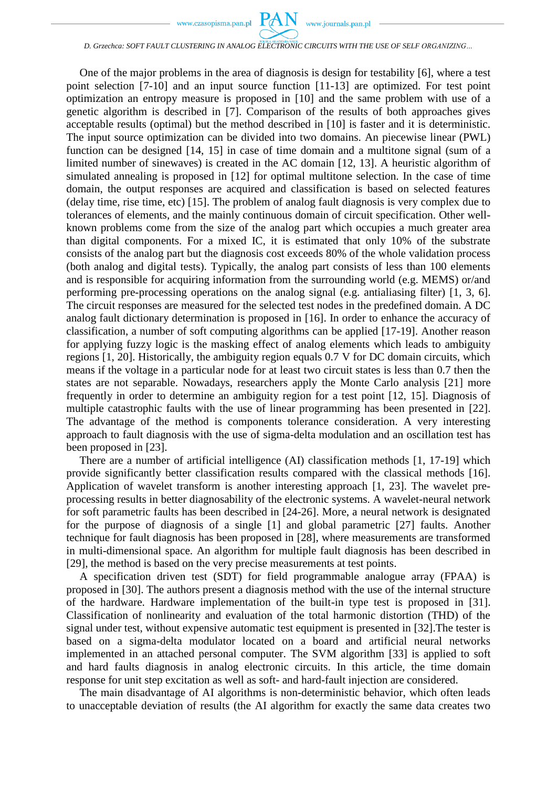

#### *D. Grzechca: SOFT FAULT CLUSTERING IN ANALOG ELECTRONIC CIRCUITS WITH THE USE OF SELF ORGANIZING…*

One of the major problems in the area of diagnosis is design for testability [\[6\],](#page-12-1) where a test point selection [7-10] and an input source function [11-13] are optimized. For test point optimization an entropy measure is proposed in [\[10\]](#page-12-2) and the same problem with use of a genetic algorithm is described in [\[7\].](#page-12-3) Comparison of the results of both approaches gives acceptable results (optimal) but the method described in [\[10\]](#page-12-2) is faster and it is deterministic. The input source optimization can be divided into two domains. An piecewise linear (PWL) function can be designed [14, 15] in case of time domain and a multitone signal (sum of a limited number of sinewaves) is created in the AC domain [12, 13]. A heuristic algorithm of simulated annealing is proposed in [\[12\]](#page-12-4) for optimal multitone selection. In the case of time domain, the output responses are acquired and classification is based on selected features (delay time, rise time, etc) [\[15\].](#page-12-5) The problem of analog fault diagnosis is very complex due to tolerances of elements, and the mainly continuous domain of circuit specification. Other wellknown problems come from the size of the analog part which occupies a much greater area than digital components. For a mixed IC, it is estimated that only 10% of the substrate consists of the analog part but the diagnosis cost exceeds 80% of the whole validation process (both analog and digital tests). Typically, the analog part consists of less than 100 elements and is responsible for acquiring information from the surrounding world (e.g. MEMS) or/and performing pre-processing operations on the analog signal (e.g. antialiasing filter) [1, 3, 6]. The circuit responses are measured for the selected test nodes in the predefined domain. A DC analog fault dictionary determination is proposed in [\[16\].](#page-12-6) In order to enhance the accuracy of classification, a number of soft computing algorithms can be applied [17-19]. Another reason for applying fuzzy logic is the masking effect of analog elements which leads to ambiguity regions [1, 20]. Historically, the ambiguity region equals 0.7 V for DC domain circuits, which means if the voltage in a particular node for at least two circuit states is less than 0.7 then the states are not separable. Nowadays, researchers apply the Monte Carlo analysis [\[21\]](#page-12-7) more frequently in order to determine an ambiguity region for a test point [12, 15]. Diagnosis of multiple catastrophic faults with the use of linear programming has been presented in [\[22\].](#page-12-8) The advantage of the method is components tolerance consideration. A very interesting approach to fault diagnosis with the use of sigma-delta modulation and an oscillation test has been proposed in [\[23\].](#page-12-9)

There are a number of artificial intelligence (AI) classification methods [1, 17-19] which provide significantly better classification results compared with the classical methods [\[16\].](#page-12-6) Application of wavelet transform is another interesting approach [1, 23]. The wavelet preprocessing results in better diagnosability of the electronic systems. A wavelet-neural network for soft parametric faults has been described in [24-26]. More, a neural network is designated for the purpose of diagnosis of a single [\[1\]](#page-11-0) and global parametric [27] faults. Another technique for fault diagnosis has been proposed in [\[28\],](#page-13-0) where measurements are transformed in multi-dimensional space. An algorithm for multiple fault diagnosis has been described in [\[29\],](#page-13-1) the method is based on the very precise measurements at test points.

A specification driven test (SDT) for field programmable analogue array (FPAA) is proposed in [\[30\].](#page-13-2) The authors present a diagnosis method with the use of the internal structure of the hardware. Hardware implementation of the built-in type test is proposed in [\[31\].](#page-13-3) Classification of nonlinearity and evaluation of the total harmonic distortion (THD) of the signal under test, without expensive automatic test equipment is presented in [\[32\].](#page-13-4)The tester is based on a sigma-delta modulator located on a board and artificial neural networks implemented in an attached personal computer. The SVM algorithm [\[33\]](#page-13-5) is applied to soft and hard faults diagnosis in analog electronic circuits. In this article, the time domain response for unit step excitation as well as soft- and hard-fault injection are considered.

The main disadvantage of AI algorithms is non-deterministic behavior, which often leads to unacceptable deviation of results (the AI algorithm for exactly the same data creates two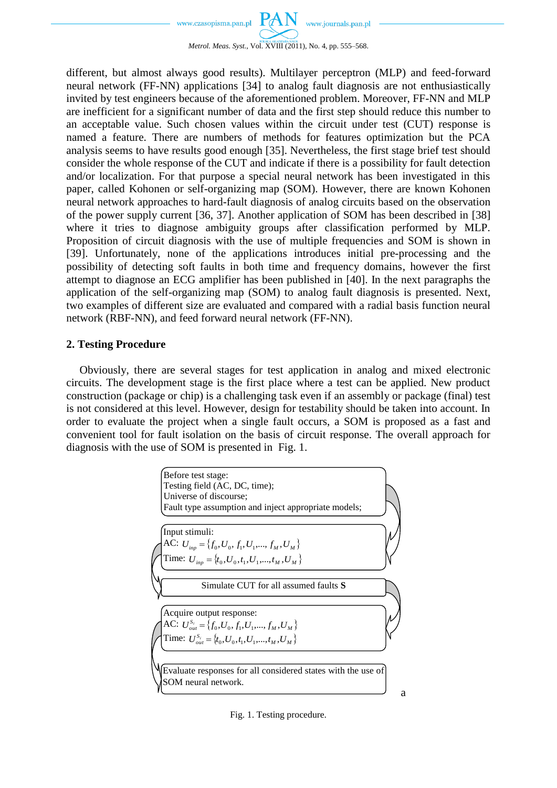

different, but almost always good results). Multilayer perceptron (MLP) and feed-forward neural network (FF-NN) applications [\[34\]](#page-13-6) to analog fault diagnosis are not enthusiastically invited by test engineers because of the aforementioned problem. Moreover, FF-NN and MLP are inefficient for a significant number of data and the first step should reduce this number to an acceptable value. Such chosen values within the circuit under test (CUT) response is named a feature. There are numbers of methods for features optimization but the PCA analysis seems to have results good enough [\[35\].](#page-13-7) Nevertheless, the first stage brief test should consider the whole response of the CUT and indicate if there is a possibility for fault detection and/or localization. For that purpose a special neural network has been investigated in this paper, called Kohonen or self-organizing map (SOM). However, there are known Kohonen neural network approaches to hard-fault diagnosis of analog circuits based on the observation of the power supply current [36, 37]. Another application of SOM has been described in [\[38\]](#page-13-8) where it tries to diagnose ambiguity groups after classification performed by MLP. Proposition of circuit diagnosis with the use of multiple frequencies and SOM is shown in [\[39\].](#page-13-9) Unfortunately, none of the applications introduces initial pre-processing and the possibility of detecting soft faults in both time and frequency domains, however the first attempt to diagnose an ECG amplifier has been published in [\[40\].](#page-13-10) In the next paragraphs the application of the self-organizing map (SOM) to analog fault diagnosis is presented. Next, two examples of different size are evaluated and compared with a radial basis function neural network (RBF-NN), and feed forward neural network (FF-NN).

#### **2. Testing Procedure**

Obviously, there are several stages for test application in analog and mixed electronic circuits. The development stage is the first place where a test can be applied. New product construction (package or chip) is a challenging task even if an assembly or package (final) test is not considered at this level. However, design for testability should be taken into account. In order to evaluate the project when a single fault occurs, a SOM is proposed as a fast and convenient tool for fault isolation on the basis of circuit response. The overall approach for diagnosis with the use of SOM is presented in Fig. 1.



Fig. 1. Testing procedure.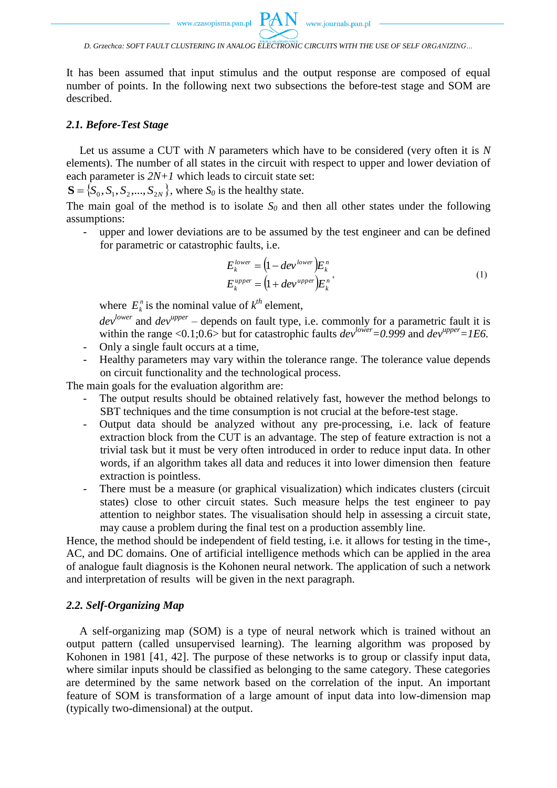It has been assumed that input stimulus and the output response are composed of equal number of points. In the following next two subsections the before-test stage and SOM are described.

#### *2.1. Before-Test Stage*

Let us assume a CUT with *N* parameters which have to be considered (very often it is *N* elements). The number of all states in the circuit with respect to upper and lower deviation of each parameter is *2N+1* which leads to circuit state set:

 $S = \{S_0, S_1, S_2, \dots, S_{2N}\}\,$ , where  $S_0$  is the healthy state.

The main goal of the method is to isolate  $S_0$  and then all other states under the following assumptions:

- upper and lower deviations are to be assumed by the test engineer and can be defined for parametric or catastrophic faults, i.e.

$$
E_k^{lower} = (1 - dev^{lower}) E_k^n
$$
  
\n
$$
E_k^{upper} = (1 + dev^{upper}) E_k^n
$$
 (1)

where  $E_k^n$  is the nominal value of  $k^{th}$  element,

*devlower* and *devupper* – depends on fault type, i.e. commonly for a parametric fault it is within the range <0.1;0.6> but for catastrophic faults *devlower=0.999* and *devupper=1E6.*

- Only a single fault occurs at a time,
- Healthy parameters may vary within the tolerance range. The tolerance value depends on circuit functionality and the technological process.

The main goals for the evaluation algorithm are:

- The output results should be obtained relatively fast, however the method belongs to SBT techniques and the time consumption is not crucial at the before-test stage.
- Output data should be analyzed without any pre-processing, i.e. lack of feature extraction block from the CUT is an advantage. The step of feature extraction is not a trivial task but it must be very often introduced in order to reduce input data. In other words, if an algorithm takes all data and reduces it into lower dimension then feature extraction is pointless.
- There must be a measure (or graphical visualization) which indicates clusters (circuit states) close to other circuit states. Such measure helps the test engineer to pay attention to neighbor states. The visualisation should help in assessing a circuit state, may cause a problem during the final test on a production assembly line.

Hence, the method should be independent of field testing, i.e. it allows for testing in the time-, AC, and DC domains. One of artificial intelligence methods which can be applied in the area of analogue fault diagnosis is the Kohonen neural network. The application of such a network and interpretation of results will be given in the next paragraph.

### *2.2. Self-Organizing Map*

A self-organizing map (SOM) is a type of neural network which is trained without an output pattern (called unsupervised learning). The learning algorithm was proposed by Kohonen in 1981 [41, 42]. The purpose of these networks is to group or classify input data, where similar inputs should be classified as belonging to the same category. These categories are determined by the same network based on the correlation of the input. An important feature of SOM is transformation of a large amount of input data into low-dimension map (typically two-dimensional) at the output.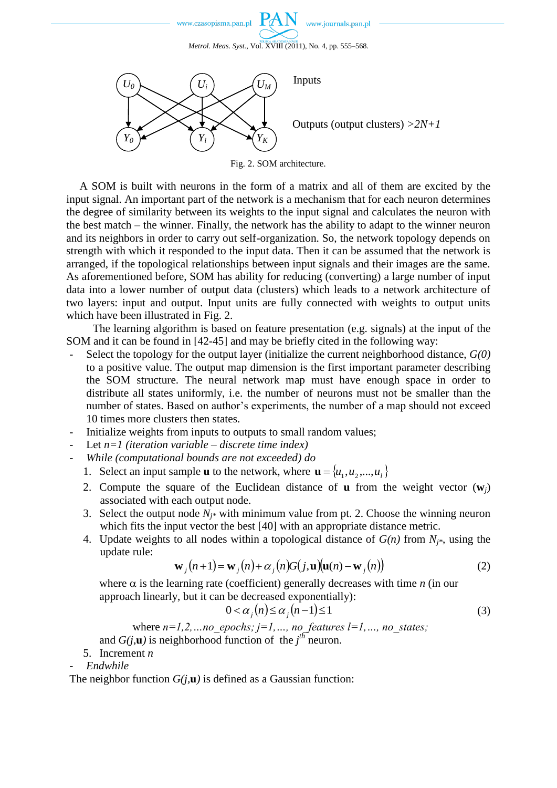



Fig. 2. SOM architecture.

A SOM is built with neurons in the form of a matrix and all of them are excited by the input signal. An important part of the network is a mechanism that for each neuron determines the degree of similarity between its weights to the input signal and calculates the neuron with the best match – the winner. Finally, the network has the ability to adapt to the winner neuron and its neighbors in order to carry out self-organization. So, the network topology depends on strength with which it responded to the input data. Then it can be assumed that the network is arranged, if the topological relationships between input signals and their images are the same. As aforementioned before, SOM has ability for reducing (converting) a large number of input data into a lower number of output data (clusters) which leads to a network architecture of two layers: input and output. Input units are fully connected with weights to output units which have been illustrated in Fig. 2.

The learning algorithm is based on feature presentation (e.g. signals) at the input of the SOM and it can be found in [42-45] and may be briefly cited in the following way:

- Select the topology for the output layer (initialize the current neighborhood distance, *G(0)* to a positive value. The output map dimension is the first important parameter describing the SOM structure. The neural network map must have enough space in order to distribute all states uniformly, i.e. the number of neurons must not be smaller than the number of states. Based on author's experiments, the number of a map should not exceed 10 times more clusters then states.
- Initialize weights from inputs to outputs to small random values;
- Let *n=1 (iteration variable – discrete time index)*
- *While (computational bounds are not exceeded) do*
	- 1. Select an input sample **u** to the network, where  $\mathbf{u} = \{u_1, u_2, ..., u_l\}$
	- 2. Compute the square of the Euclidean distance of **u** from the weight vector  $(w_i)$ associated with each output node.
	- 3. Select the output node  $N_{i*}$  with minimum value from pt. 2. Choose the winning neuron which fits the input vector the best [\[40\]](#page-13-10) with an appropriate distance metric.
	- 4. Update weights to all nodes within a topological distance of *G(n)* from *Nj\**, using the update rule:

$$
\mathbf{w}_j(n+1) = \mathbf{w}_j(n) + \alpha_j(n)G(j, \mathbf{u})(\mathbf{u}(n) - \mathbf{w}_j(n))
$$
 (2)

where  $\alpha$  is the learning rate (coefficient) generally decreases with time *n* (in our approach linearly, but it can be decreased exponentially):

$$
0 < \alpha_j(n) \le \alpha_j(n-1) \le 1 \tag{3}
$$

where  $n=1,2,...$  *no\_epochs;*  $j=1,...,$  *no\_features l=1,..., no\_states;* and  $G(j,\mathbf{u})$  is neighborhood function of the  $j^{th}$  neuron.

- 5. Increment *n*
- *Endwhile*

The neighbor function  $G(j, \mathbf{u})$  is defined as a Gaussian function: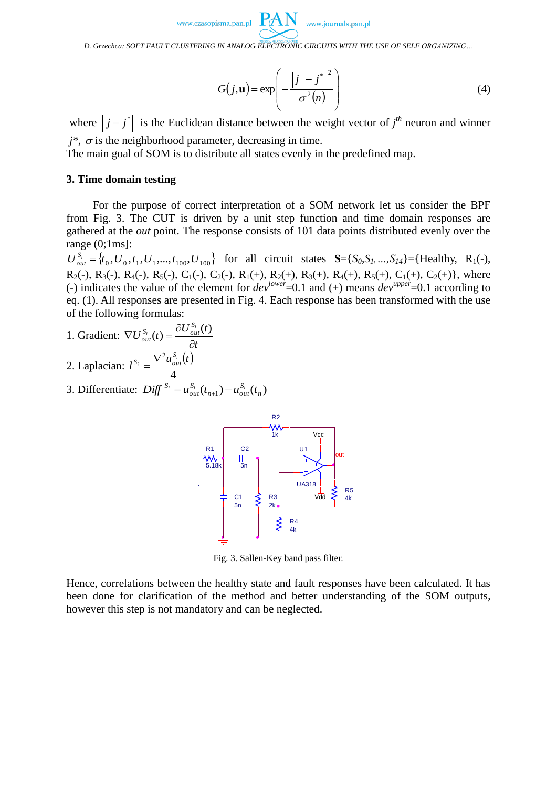www.journals.pan.pl

*D. Grzechca: SOFT FAULT CLUSTERING IN ANALOG ELECTRONIC CIRCUITS WITH THE USE OF SELF ORGANIZING…*

$$
G(j, \mathbf{u}) = \exp\left(-\frac{\left\|j - j^*\right\|^2}{\sigma^2(n)}\right)
$$
(4)

where  $||j - j^*||$  is the Euclidean distance between the weight vector of  $j^{th}$  neuron and winner  $j^*$ ,  $\sigma$  is the neighborhood parameter, decreasing in time.

The main goal of SOM is to distribute all states evenly in the predefined map.

### **3. Time domain testing**

For the purpose of correct interpretation of a SOM network let us consider the BPF from Fig. 3. The CUT is driven by a unit step function and time domain responses are gathered at the *out* point. The response consists of 101 data points distributed evenly over the range (0;1ms]:

 $U_{out}^{S_i} = \{t_0, U_0, t_1, U_1, \dots, t_{100}, U_{100}\}$  for all circuit states **S**={*S*<sub>0</sub>*S*<sub>1</sub>*, ...,S*<sub>14</sub>}={Healthy, R<sub>1</sub>(-),  $R_2(-)$ ,  $R_3(-)$ ,  $R_4(-)$ ,  $R_5(-)$ ,  $C_1(-)$ ,  $C_2(-)$ ,  $R_1(+)$ ,  $R_2(+)$ ,  $R_3(+)$ ,  $R_4(+)$ ,  $R_5(+)$ ,  $C_1(+)$ ,  $C_2(+)$ }, where (-) indicates the value of the element for  $dev^{lower}=0.1$  and (+) means  $dev^{upper}=0.1$  according to eq. (1). All responses are presented in Fig. 4. Each response has been transformed with the use of the following formulas:

- 1. Gradient: *t*  $U_{out}^{S_i}(t) = \frac{\partial U_{out}^{S_i}(t)}{\partial t}$  $S_i$  *(t)*  $= \partial U_{out}^{S_i}$  $_{out}(t) = \frac{c}{\hat{c}}$  $\nabla U_{out}^{S_i}(t) = \frac{\partial U_{out}^{S_i}(t)}{\partial t}$
- 2. Laplacian:  $l^{S_i} = \frac{\nabla^2 u_{out}^{S_i}(t)}{l}$ 4  $l^{S_i} = \frac{\nabla^2 u_{out}^{S_i}(t)}{l}$  $S_i = \frac{\nabla^2 u_{out}^{S_i}}{I}$
- 3. Differentiate:  $\text{Diff}^{S_i} = u_{out}^{S_i}(t_{n+1}) u_{out}^{S_i}(t_n)$ *S*  $n+1$ <sup>*f*</sup> $-u_{out}$ *S*  $Diff^{S_i} = u_{out}^{S_i}(t_{n+1}) - u_{out}^{S_i}(t)$



Fig. 3. Sallen-Key band pass filter.

Hence, correlations between the healthy state and fault responses have been calculated. It has been done for clarification of the method and better understanding of the SOM outputs, however this step is not mandatory and can be neglected.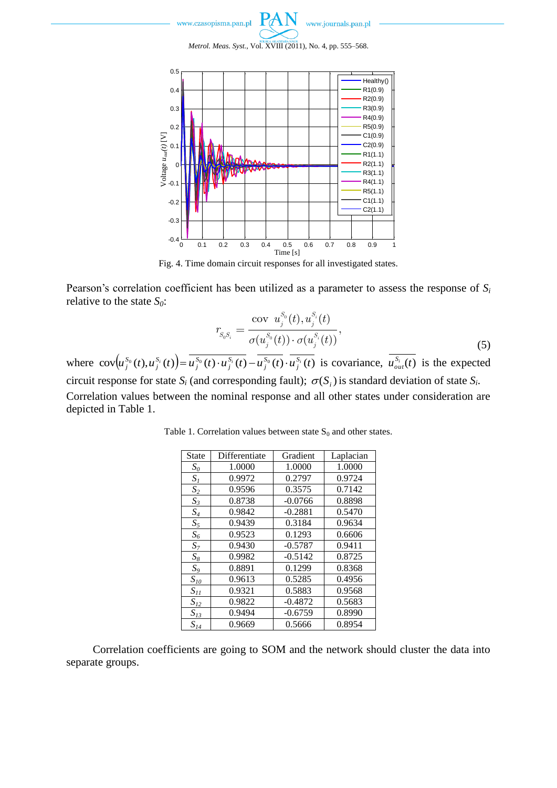



Fig. 4. Time domain circuit responses for all investigated states.

Pearson's correlation coefficient has been utilized as a parameter to assess the response of *S<sup>i</sup>* relative to the state *S0*:

$$
r_{S_0 S_i} = \frac{\text{cov } u_j^{S_0}(t), u_j^{S_i}(t)}{\sigma(u_j^{S_0}(t)) \cdot \sigma(u_j^{S_i}(t))},
$$
\n(5)

where  $\text{cov}(u_j^{S_0}(t), u_j^{S_i}(t)) = u_j^{S_0}(t) \cdot u_j^{S_i}(t) - u_j^{S_0}(t) \cdot u_j^{S_i}(t)$ *S j S j S j S j S*  $J_j^{S_0}(t)$ ,  $u_j^{S_i}(t)$  =  $u_j^{S_0}(t) \cdot u_j^{S_i}(t) - u_j^{S_0}(t) \cdot u_j^{S_i}(t)$  is covariance,  $u_{out}^{S_i}(t)$  is the expected circuit response for state  $S_i$  (and corresponding fault);  $\sigma(S_i)$  is standard deviation of state  $S_i$ . Correlation values between the nominal response and all other states under consideration are depicted in Table 1.

| <b>State</b>         | Differentiate | Gradient  | Laplacian |
|----------------------|---------------|-----------|-----------|
| $S_0$                | 1.0000        | 1.0000    | 1.0000    |
| $S_I$                | 0.9972        | 0.2797    | 0.9724    |
| $S_2$                | 0.9596        | 0.3575    | 0.7142    |
| $S_3$                | 0.8738        | $-0.0766$ | 0.8898    |
| $S_4$                | 0.9842        | $-0.2881$ | 0.5470    |
| $S_5$                | 0.9439        | 0.3184    | 0.9634    |
| $S_6$                | 0.9523        | 0.1293    | 0.6606    |
| $S_7$                | 0.9430        | $-0.5787$ | 0.9411    |
| $S_8$                | 0.9982        | $-0.5142$ | 0.8725    |
| $S_9$                | 0.8891        | 0.1299    | 0.8368    |
| $S_{\mathit{10}}$    | 0.9613        | 0.5285    | 0.4956    |
| $S_{II}$             | 0.9321        | 0.5883    | 0.9568    |
| $S_{I2}$             | 0.9822        | $-0.4872$ | 0.5683    |
| $S_{13}$             | 0.9494        | $-0.6759$ | 0.8990    |
| $S_{I\underline{4}}$ | 0.9669        | 0.5666    | 0.8954    |

Table 1. Correlation values between state  $S_0$  and other states.

Correlation coefficients are going to SOM and the network should cluster the data into separate groups.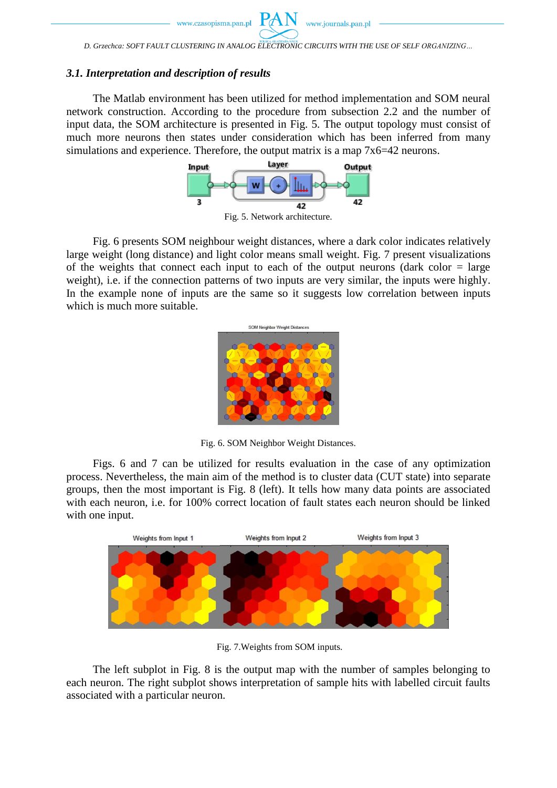*D. Grzechca: SOFT FAULT CLUSTERING IN ANALOG ELECTRONIC CIRCUITS WITH THE USE OF SELF ORGANIZING…*

### *3.1. Interpretation and description of results*

The Matlab environment has been utilized for method implementation and SOM neural network construction. According to the procedure from subsection 2.2 and the number of input data, the SOM architecture is presented in Fig. 5. The output topology must consist of much more neurons then states under consideration which has been inferred from many simulations and experience. Therefore, the output matrix is a map 7x6=42 neurons.



Fig. 5. Network architecture.

Fig. 6 presents SOM neighbour weight distances, where a dark color indicates relatively large weight (long distance) and light color means small weight. Fig. 7 present visualizations of the weights that connect each input to each of the output neurons (dark color  $=$  large weight), i.e. if the connection patterns of two inputs are very similar, the inputs were highly. In the example none of inputs are the same so it suggests low correlation between inputs which is much more suitable.



Fig. 6. SOM Neighbor Weight Distances.

Figs. 6 and 7 can be utilized for results evaluation in the case of any optimization process. Nevertheless, the main aim of the method is to cluster data (CUT state) into separate groups, then the most important is Fig. 8 (left). It tells how many data points are associated with each neuron, i.e. for 100% correct location of fault states each neuron should be linked with one input.



Fig. 7.Weights from SOM inputs.

The left subplot in Fig. 8 is the output map with the number of samples belonging to each neuron. The right subplot shows interpretation of sample hits with labelled circuit faults associated with a particular neuron.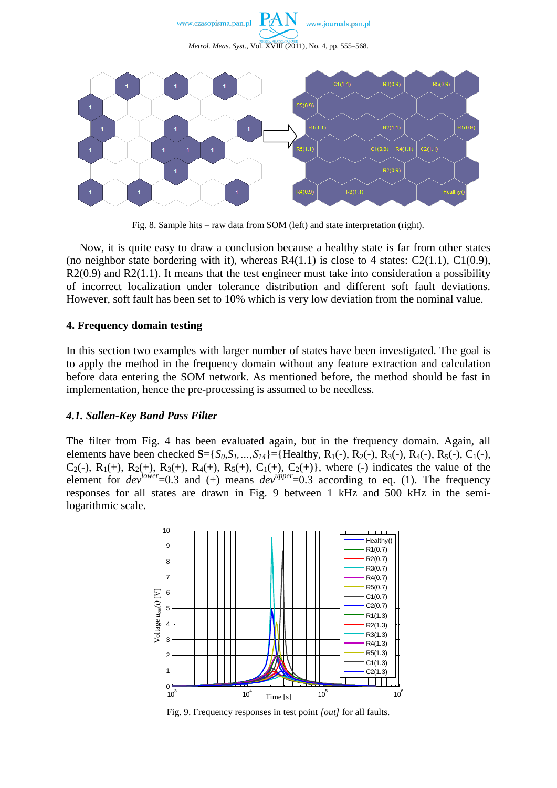

Fig. 8. Sample hits – raw data from SOM (left) and state interpretation (right).

Now, it is quite easy to draw a conclusion because a healthy state is far from other states (no neighbor state bordering with it), whereas  $R4(1.1)$  is close to 4 states:  $C2(1.1)$ ,  $C1(0.9)$ ,  $R2(0.9)$  and  $R2(1.1)$ . It means that the test engineer must take into consideration a possibility of incorrect localization under tolerance distribution and different soft fault deviations. However, soft fault has been set to 10% which is very low deviation from the nominal value.

# **4. Frequency domain testing**

In this section two examples with larger number of states have been investigated. The goal is to apply the method in the frequency domain without any feature extraction and calculation before data entering the SOM network. As mentioned before, the method should be fast in implementation, hence the pre-processing is assumed to be needless.

# *4.1. Sallen-Key Band Pass Filter*

The filter from Fig. 4 has been evaluated again, but in the frequency domain. Again, all elements have been checked  $S = \{S_0, S_1, ..., S_{14}\} = \{Healthy, R_1(-), R_2(-), R_3(-), R_4(-), R_5(-), C_1(-),$ C<sub>2</sub>(-), R<sub>1</sub>(+), R<sub>2</sub>(+), R<sub>3</sub>(+), R<sub>4</sub>(+), R<sub>5</sub>(+), C<sub>1</sub>(+), C<sub>2</sub>(+)}, where (-) indicates the value of the element for  $dev^{lower}=0.3$  and (+) means  $dev^{upper}=0.3$  according to eq. (1). The frequency responses for all states are drawn in Fig. 9 between 1 kHz and 500 kHz in the semilogarithmic scale.



Fig. 9. Frequency responses in test point *[out]* for all faults.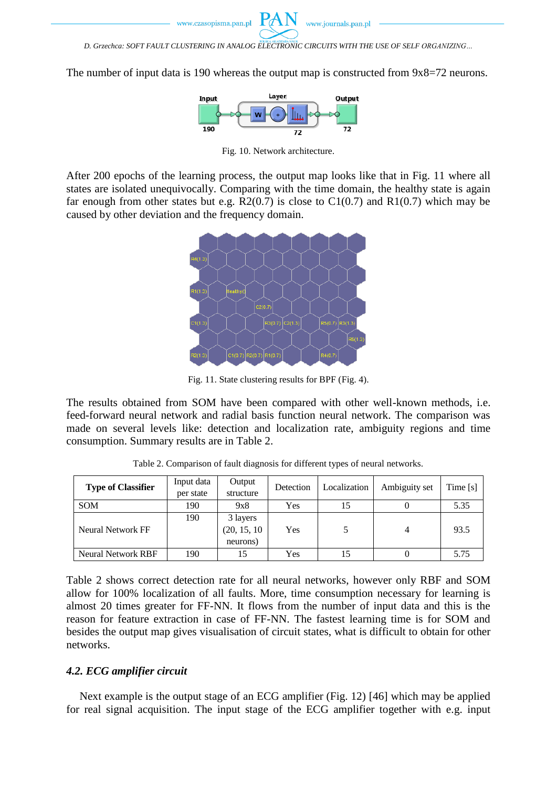The number of input data is 190 whereas the output map is constructed from  $9x8=72$  neurons.



Fig. 10. Network architecture.

After 200 epochs of the learning process, the output map looks like that in Fig. 11 where all states are isolated unequivocally. Comparing with the time domain, the healthy state is again far enough from other states but e.g.  $R2(0.7)$  is close to  $C1(0.7)$  and  $R1(0.7)$  which may be caused by other deviation and the frequency domain.



Fig. 11. State clustering results for BPF (Fig. 4).

The results obtained from SOM have been compared with other well-known methods, i.e. feed-forward neural network and radial basis function neural network. The comparison was made on several levels like: detection and localization rate, ambiguity regions and time consumption. Summary results are in Table 2.

| <b>Type of Classifier</b> | Input data | Output       | Detection | Localization | Ambiguity set | Time [s] |
|---------------------------|------------|--------------|-----------|--------------|---------------|----------|
|                           | per state  | structure    |           |              |               |          |
| <b>SOM</b>                | 190        | 9x8          | Yes       |              |               | 5.35     |
|                           | 190        | 3 layers     |           |              |               |          |
| <b>Neural Network FF</b>  |            | (20, 15, 10) | Yes       |              | 4             | 93.5     |
|                           |            | neurons)     |           |              |               |          |
| Neural Network RBF        | 190        |              | Yes       |              |               | 5.75     |

Table 2. Comparison of fault diagnosis for different types of neural networks.

Table 2 shows correct detection rate for all neural networks, however only RBF and SOM allow for 100% localization of all faults. More, time consumption necessary for learning is almost 20 times greater for FF-NN. It flows from the number of input data and this is the reason for feature extraction in case of FF-NN. The fastest learning time is for SOM and besides the output map gives visualisation of circuit states, what is difficult to obtain for other networks.

# *4.2. ECG amplifier circuit*

Next example is the output stage of an ECG amplifier (Fig. 12) [46] which may be applied for real signal acquisition. The input stage of the ECG amplifier together with e.g. input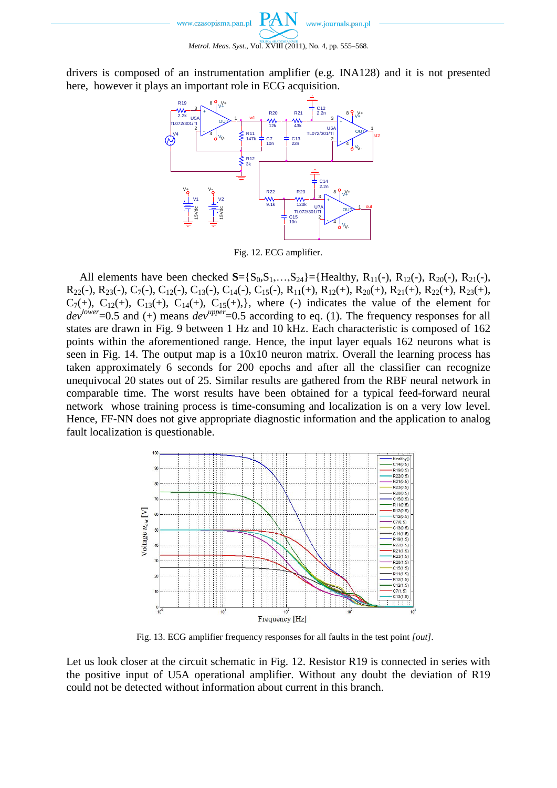drivers is composed of an instrumentation amplifier (e.g. INA128) and it is not presented here, however it plays an important role in ECG acquisition.



Fig. 12. ECG amplifier.

All elements have been checked  $S = \{S_0, S_1, \ldots, S_{24}\} = \{Healthy, R_{11}(-), R_{12}(-), R_{20}(-), R_{21}(-),$  $R_{22}(-), R_{23}(-), C_{7}(-), C_{12}(-), C_{13}(-), C_{14}(-), C_{15}(-), R_{11}(+), R_{12}(+), R_{20}(+), R_{21}(+), R_{22}(+), R_{23}(+),$  $C_7(+)$ ,  $C_{12}(+)$ ,  $C_{13}(+)$ ,  $C_{14}(+)$ ,  $C_{15}(+)$ , where (-) indicates the value of the element for  $dev^{lower}=0.5$  and (+) means  $dev^{upper}=0.5$  according to eq. (1). The frequency responses for all states are drawn in Fig. 9 between 1 Hz and 10 kHz. Each characteristic is composed of 162 points within the aforementioned range. Hence, the input layer equals 162 neurons what is seen in Fig. 14. The output map is a 10x10 neuron matrix. Overall the learning process has taken approximately 6 seconds for 200 epochs and after all the classifier can recognize unequivocal 20 states out of 25. Similar results are gathered from the RBF neural network in comparable time. The worst results have been obtained for a typical feed-forward neural network whose training process is time-consuming and localization is on a very low level. Hence, FF-NN does not give appropriate diagnostic information and the application to analog fault localization is questionable.



Fig. 13. ECG amplifier frequency responses for all faults in the test point *[out].*

Let us look closer at the circuit schematic in Fig. 12. Resistor R19 is connected in series with the positive input of U5A operational amplifier. Without any doubt the deviation of R19 could not be detected without information about current in this branch.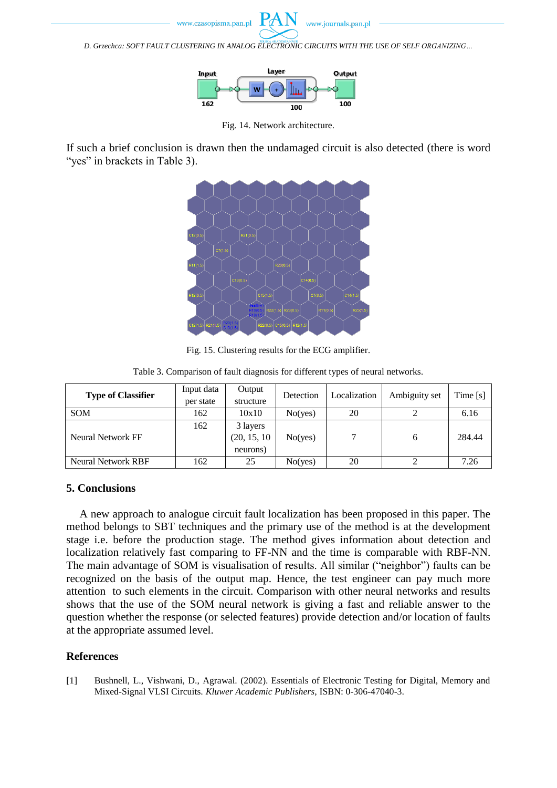

*D. Grzechca: SOFT FAULT CLUSTERING IN ANALOG ELECTRONIC CIRCUITS WITH THE USE OF SELF ORGANIZING…*



Fig. 14. Network architecture.

If such a brief conclusion is drawn then the undamaged circuit is also detected (there is word "yes" in brackets in Table 3).



Fig. 15. Clustering results for the ECG amplifier.

| <b>Type of Classifier</b> | Input data | Output       | Detection        | Localization | Ambiguity set | Time[s] |
|---------------------------|------------|--------------|------------------|--------------|---------------|---------|
|                           | per state  | structure    |                  |              |               |         |
| <b>SOM</b>                | 162        | 10x10        | No( <i>ves</i> ) | 20           |               | 6.16    |
|                           | 162        | 3 layers     |                  |              |               |         |
| Neural Network FF         |            | (20, 15, 10) | No( <i>ves</i> ) |              | 6             | 284.44  |
|                           |            | neurons)     |                  |              |               |         |
| <b>Neural Network RBF</b> | 162        | 25           | No( <i>ves</i> ) | 20           |               | 7.26    |

Table 3. Comparison of fault diagnosis for different types of neural networks.

#### **5. Conclusions**

A new approach to analogue circuit fault localization has been proposed in this paper. The method belongs to SBT techniques and the primary use of the method is at the development stage i.e. before the production stage. The method gives information about detection and localization relatively fast comparing to FF-NN and the time is comparable with RBF-NN. The main advantage of SOM is visualisation of results. All similar ("neighbor") faults can be recognized on the basis of the output map. Hence, the test engineer can pay much more attention to such elements in the circuit. Comparison with other neural networks and results shows that the use of the SOM neural network is giving a fast and reliable answer to the question whether the response (or selected features) provide detection and/or location of faults at the appropriate assumed level.

# **References**

<span id="page-11-0"></span>[1] Bushnell, L., Vishwani, D., Agrawal. (2002). Essentials of Electronic Testing for Digital, Memory and Mixed-Signal VLSI Circuits. *Kluwer Academic Publishers*, ISBN: 0-306-47040-3.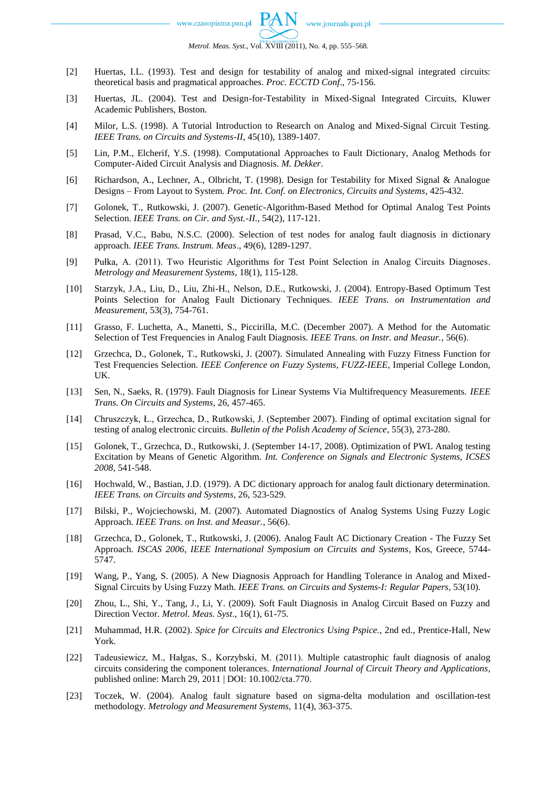- [2] Huertas, I.L. (1993). Test and design for testability of analog and mixed-signal integrated circuits: theoretical basis and pragmatical approaches. *Proc. ECCTD Conf*., 75-156.
- [3] Huertas, JL. (2004). Test and Design-for-Testability in Mixed-Signal Integrated Circuits, Kluwer Academic Publishers, Boston.
- [4] Milor, L.S. (1998). A Tutorial Introduction to Research on Analog and Mixed-Signal Circuit Testing. *IEEE Trans. on Circuits and Systems-II*, 45(10), 1389-1407.
- <span id="page-12-0"></span>[5] Lin, P.M., Elcherif, Y.S. (1998). Computational Approaches to Fault Dictionary, Analog Methods for Computer-Aided Circuit Analysis and Diagnosis. *M. Dekker*.
- <span id="page-12-1"></span>[6] Richardson, A., Lechner, A., Olbricht, T. (1998). Design for Testability for Mixed Signal & Analogue Designs – From Layout to System. *Proc. Int. Conf. on Electronics, Circuits and Systems*, 425-432.
- <span id="page-12-3"></span>[7] Golonek, T., Rutkowski, J. (2007). Genetic-Algorithm-Based Method for Optimal Analog Test Points Selection. *IEEE Trans. on Cir. and Syst.-II.*, 54(2), 117-121.
- [8] Prasad, V.C., Babu, N.S.C. (2000). Selection of test nodes for analog fault diagnosis in dictionary approach. *IEEE Trans. Instrum. Meas*., 49(6), 1289-1297.
- [9] Pułka, A. (2011). Two Heuristic Algorithms for Test Point Selection in Analog Circuits Diagnoses. *Metrology and Measurement Systems*, 18(1), 115-128.
- <span id="page-12-2"></span>[10] Starzyk, J.A., Liu, D., Liu, Zhi-H., Nelson, D.E., Rutkowski, J. (2004). Entropy-Based Optimum Test Points Selection for Analog Fault Dictionary Techniques. *IEEE Trans. on Instrumentation and Measurement*, 53(3), 754-761.
- [11] Grasso, F. Luchetta, A., Manetti, S., Piccirilla, M.C. (December 2007). A Method for the Automatic Selection of Test Frequencies in Analog Fault Diagnosis. *IEEE Trans. on Instr. and Measur.*, 56(6).
- <span id="page-12-4"></span>[12] Grzechca, D., Golonek, T., Rutkowski, J. (2007). Simulated Annealing with Fuzzy Fitness Function for Test Frequencies Selection. *IEEE Conference on Fuzzy Systems*, *FUZZ-IEEE*, Imperial College London, UK.
- [13] Sen, N., Saeks, R. (1979). Fault Diagnosis for Linear Systems Via Multifrequency Measurements. *IEEE Trans. On Circuits and Systems*, 26, 457-465.
- [14] Chruszczyk, Ł., Grzechca, D., Rutkowski, J. (September 2007). Finding of optimal excitation signal for testing of analog electronic circuits. *Bulletin of the Polish Academy of Science*, 55(3), 273-280.
- <span id="page-12-5"></span>[15] Golonek, T., Grzechca, D., Rutkowski, J. (September 14-17, 2008). Optimization of PWL Analog testing Excitation by Means of Genetic Algorithm. *Int. Conference on Signals and Electronic Systems, ICSES 2008,* 541-548.
- <span id="page-12-6"></span>[16] Hochwald, W., Bastian, J.D. (1979). A DC dictionary approach for analog fault dictionary determination. *IEEE Trans. on Circuits and Systems*, 26, 523-529.
- [17] Bilski, P., Wojciechowski, M. (2007). Automated Diagnostics of Analog Systems Using Fuzzy Logic Approach. *IEEE Trans. on Inst. and Measur.*, 56(6).
- [18] Grzechca, D., Golonek, T., Rutkowski, J. (2006). Analog Fault AC Dictionary Creation The Fuzzy Set Approach. *ISCAS 2006, IEEE International Symposium on Circuits and Systems*, Kos, Greece, 5744- 5747.
- [19] Wang, P., Yang, S. (2005). A New Diagnosis Approach for Handling Tolerance in Analog and Mixed-Signal Circuits by Using Fuzzy Math. *IEEE Trans. on Circuits and Systems-I: Regular Papers*, 53(10).
- [20] Zhou, L., Shi, Y., Tang, J., Li, Y. (2009). Soft Fault Diagnosis in Analog Circuit Based on Fuzzy and Direction Vector. *Metrol. Meas. Syst*., 16(1), 61-75.
- <span id="page-12-7"></span>[21] Muhammad, H.R. (2002). *Spice for Circuits and Electronics Using Pspice.*, 2nd ed., Prentice-Hall, New York.
- <span id="page-12-8"></span>[22] Tadeusiewicz, M., Hałgas, S., Korzybski, M. (2011). Multiple catastrophic fault diagnosis of analog circuits considering the component tolerances. *International Journal of Circuit Theory and Applications*, published online: March 29, 2011 | DOI: 10.1002/cta.770.
- <span id="page-12-9"></span>[23] Toczek, W. (2004). Analog fault signature based on sigma-delta modulation and oscillation-test methodology. *Metrology and Measurement Systems,* 11(4), 363-375.